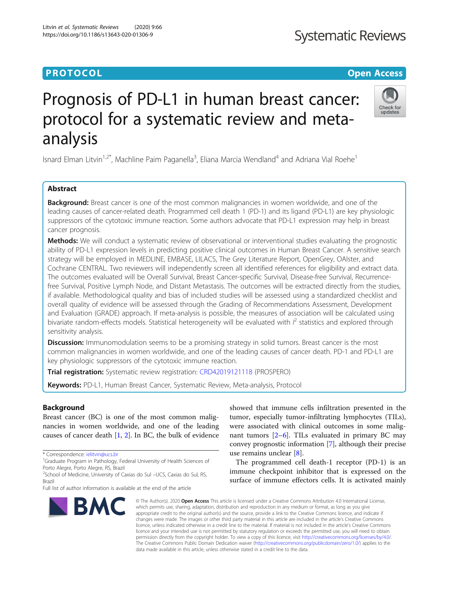# Prognosis of PD-L1 in human breast cancer: protocol for a systematic review and metaanalysis

Isnard Elman Litvin<sup>1,2\*</sup>, Machline Paim Paganella<sup>3</sup>, Eliana Marcia Wendland<sup>4</sup> and Adriana Vial Roehe<sup>1</sup>

## Abstract

**Background:** Breast cancer is one of the most common malignancies in women worldwide, and one of the leading causes of cancer-related death. Programmed cell death 1 (PD-1) and its ligand (PD-L1) are key physiologic suppressors of the cytotoxic immune reaction. Some authors advocate that PD-L1 expression may help in breast cancer prognosis.

Methods: We will conduct a systematic review of observational or interventional studies evaluating the prognostic ability of PD-L1 expression levels in predicting positive clinical outcomes in Human Breast Cancer. A sensitive search strategy will be employed in MEDLINE, EMBASE, LILACS, The Grey Literature Report, OpenGrey, OAIster, and Cochrane CENTRAL. Two reviewers will independently screen all identified references for eligibility and extract data. The outcomes evaluated will be Overall Survival, Breast Cancer-specific Survival, Disease-free Survival, Recurrencefree Survival, Positive Lymph Node, and Distant Metastasis. The outcomes will be extracted directly from the studies, if available. Methodological quality and bias of included studies will be assessed using a standardized checklist and overall quality of evidence will be assessed through the Grading of Recommendations Assessment, Development and Evaluation (GRADE) approach. If meta-analysis is possible, the measures of association will be calculated using bivariate random-effects models. Statistical heterogeneity will be evaluated with  $l^2$  statistics and explored through sensitivity analysis.

**Discussion:** Immunomodulation seems to be a promising strategy in solid tumors. Breast cancer is the most common malignancies in women worldwide, and one of the leading causes of cancer death. PD-1 and PD-L1 are key physiologic suppressors of the cytotoxic immune reaction.

Trial registration: Systematic review registration: [CRD42019121118](https://www.crd.york.ac.uk/PROSPERO/display_record.php?RecordID=121118) (PROSPERO)

Keywords: PD-L1, Human Breast Cancer, Systematic Review, Meta-analysis, Protocol

## Background

Breast cancer (BC) is one of the most common malignancies in women worldwide, and one of the leading causes of cancer death [\[1,](#page-5-0) [2\]](#page-5-0). In BC, the bulk of evidence showed that immune cells infiltration presented in the tumor, especially tumor-infiltrating lymphocytes (TILs), were associated with clinical outcomes in some malignant tumors  $[2-6]$  $[2-6]$  $[2-6]$  $[2-6]$ . TILs evaluated in primary BC may convey prognostic information [\[7](#page-5-0)], although their precise use remains unclear [[8\]](#page-5-0).

The programmed cell death-1 receptor (PD-1) is an immune checkpoint inhibitor that is expressed on the surface of immune effectors cells. It is activated mainly

© The Author(s), 2020 **Open Access** This article is licensed under a Creative Commons Attribution 4.0 International License, which permits use, sharing, adaptation, distribution and reproduction in any medium or format, as long as you give appropriate credit to the original author(s) and the source, provide a link to the Creative Commons licence, and indicate if changes were made. The images or other third party material in this article are included in the article's Creative Commons licence, unless indicated otherwise in a credit line to the material. If material is not included in the article's Creative Commons licence and your intended use is not permitted by statutory regulation or exceeds the permitted use, you will need to obtain permission directly from the copyright holder. To view a copy of this licence, visit [http://creativecommons.org/licenses/by/4.0/.](http://creativecommons.org/licenses/by/4.0/) The Creative Commons Public Domain Dedication waiver [\(http://creativecommons.org/publicdomain/zero/1.0/](http://creativecommons.org/publicdomain/zero/1.0/)) applies to the data made available in this article, unless otherwise stated in a credit line to the data.

Litvin et al. Systematic Reviews (2020) 9:66 https://doi.org/10.1186/s13643-020-01306-9





## **Systematic Reviews**



<sup>\*</sup> Correspondence: [ielitvin@ucs.br](mailto:ielitvin@ucs.br) <sup>1</sup>

<sup>&</sup>lt;sup>1</sup>Graduate Program in Pathology, Federal University of Health Sciences of Porto Alegre, Porto Alegre, RS, Brazil

<sup>2</sup> School of Medicine, University of Caxias do Sul –UCS, Caxias do Sul, RS, Brazil

Full list of author information is available at the end of the article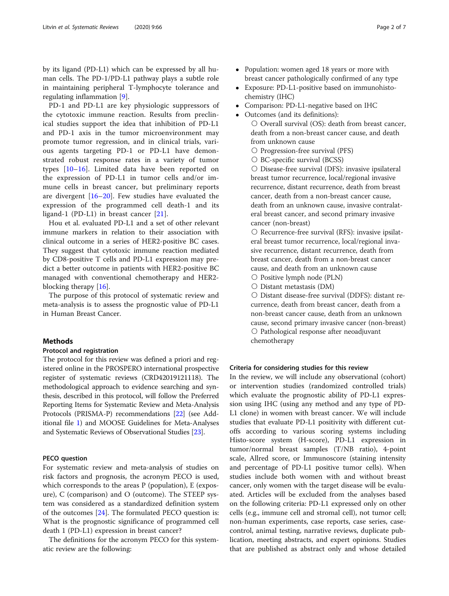by its ligand (PD-L1) which can be expressed by all human cells. The PD-1/PD-L1 pathway plays a subtle role in maintaining peripheral T-lymphocyte tolerance and regulating inflammation [\[9](#page-5-0)].

PD-1 and PD-L1 are key physiologic suppressors of the cytotoxic immune reaction. Results from preclinical studies support the idea that inhibition of PD-L1 and PD-1 axis in the tumor microenvironment may promote tumor regression, and in clinical trials, various agents targeting PD-1 or PD-L1 have demonstrated robust response rates in a variety of tumor types [[10](#page-5-0)–[16\]](#page-5-0). Limited data have been reported on the expression of PD-L1 in tumor cells and/or immune cells in breast cancer, but preliminary reports are divergent [\[16](#page-5-0)–[20](#page-5-0)]. Few studies have evaluated the expression of the programmed cell death-1 and its ligand-1 (PD-L1) in breast cancer [[21\]](#page-5-0).

Hou et al. evaluated PD-L1 and a set of other relevant immune markers in relation to their association with clinical outcome in a series of HER2-positive BC cases. They suggest that cytotoxic immune reaction mediated by CD8-positive T cells and PD-L1 expression may predict a better outcome in patients with HER2-positive BC managed with conventional chemotherapy and HER2 blocking therapy [\[16\]](#page-5-0).

The purpose of this protocol of systematic review and meta-analysis is to assess the prognostic value of PD-L1 in Human Breast Cancer.

## Methods

## Protocol and registration

The protocol for this review was defined a priori and registered online in the PROSPERO international prospective register of systematic reviews (CRD42019121118). The methodological approach to evidence searching and synthesis, described in this protocol, will follow the Preferred Reporting Items for Systematic Review and Meta-Analysis Protocols (PRISMA-P) recommendations [\[22\]](#page-5-0) (see Additional file [1](#page-4-0)) and MOOSE Guidelines for Meta-Analyses and Systematic Reviews of Observational Studies [\[23\]](#page-5-0).

## PECO question

For systematic review and meta-analysis of studies on risk factors and prognosis, the acronym PECO is used, which corresponds to the areas P (population), E (exposure), C (comparison) and O (outcome). The STEEP system was considered as a standardized definition system of the outcomes [[24](#page-5-0)]. The formulated PECO question is: What is the prognostic significance of programmed cell death 1 (PD-L1) expression in breast cancer?

The definitions for the acronym PECO for this systematic review are the following:

- Population: women aged 18 years or more with breast cancer pathologically confirmed of any type
- Exposure: PD-L1-positive based on immunohistochemistry (IHC)
- Comparison: PD-L1-negative based on IHC
- Outcomes (and its definitions):
	- O Overall survival (OS): death from breast cancer, death from a non-breast cancer cause, and death from unknown cause
	- Progression-free survival (PFS)
	- BC-specific survival (BCSS)

○ Disease-free survival (DFS): invasive ipsilateral breast tumor recurrence, local/regional invasive recurrence, distant recurrence, death from breast cancer, death from a non-breast cancer cause, death from an unknown cause, invasive contralateral breast cancer, and second primary invasive cancer (non-breast)

○ Recurrence-free survival (RFS): invasive ipsilateral breast tumor recurrence, local/regional invasive recurrence, distant recurrence, death from breast cancer, death from a non-breast cancer cause, and death from an unknown cause

- Positive lymph node (PLN)
- Distant metastasis (DM)
- Distant disease-free survival (DDFS): distant recurrence, death from breast cancer, death from a non-breast cancer cause, death from an unknown cause, second primary invasive cancer (non-breast) ○ Pathological response after neoadjuvant chemotherapy

## Criteria for considering studies for this review

In the review, we will include any observational (cohort) or intervention studies (randomized controlled trials) which evaluate the prognostic ability of PD-L1 expression using IHC (using any method and any type of PD-L1 clone) in women with breast cancer. We will include studies that evaluate PD-L1 positivity with different cutoffs according to various scoring systems including Histo-score system (H-score), PD-L1 expression in tumor/normal breast samples (T/NB ratio), 4-point scale, Allred score, or Immunoscore (staining intensity and percentage of PD-L1 positive tumor cells). When studies include both women with and without breast cancer, only women with the target disease will be evaluated. Articles will be excluded from the analyses based on the following criteria: PD-L1 expressed only on other cells (e.g., immune cell and stromal cell), not tumor cell; non-human experiments, case reports, case series, casecontrol, animal testing, narrative reviews, duplicate publication, meeting abstracts, and expert opinions. Studies that are published as abstract only and whose detailed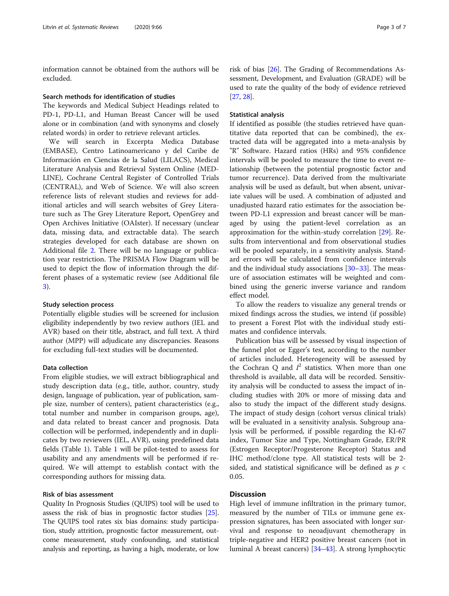information cannot be obtained from the authors will be excluded.

### Search methods for identification of studies

The keywords and Medical Subject Headings related to PD-1, PD-L1, and Human Breast Cancer will be used alone or in combination (and with synonyms and closely related words) in order to retrieve relevant articles.

We will search in Excerpta Medica Database (EMBASE), Centro Latinoamericano y del Caribe de Información en Ciencias de la Salud (LILACS), Medical Literature Analysis and Retrieval System Online (MED-LINE), Cochrane Central Register of Controlled Trials (CENTRAL), and Web of Science. We will also screen reference lists of relevant studies and reviews for additional articles and will search websites of Grey Literature such as The Grey Literature Report, OpenGrey and Open Archives Initiative (OAIster). If necessary (unclear data, missing data, and extractable data). The search strategies developed for each database are shown on Additional file [2.](#page-4-0) There will be no language or publication year restriction. The PRISMA Flow Diagram will be used to depict the flow of information through the different phases of a systematic review (see Additional file [3\)](#page-4-0).

## Study selection process

Potentially eligible studies will be screened for inclusion eligibility independently by two review authors (IEL and AVR) based on their title, abstract, and full text. A third author (MPP) will adjudicate any discrepancies. Reasons for excluding full-text studies will be documented.

## Data collection

From eligible studies, we will extract bibliographical and study description data (e.g., title, author, country, study design, language of publication, year of publication, sample size, number of centers), patient characteristics (e.g., total number and number in comparison groups, age), and data related to breast cancer and prognosis. Data collection will be performed, independently and in duplicates by two reviewers (IEL, AVR), using predefined data fields (Table [1\)](#page-3-0). Table [1](#page-3-0) will be pilot-tested to assess for usability and any amendments will be performed if required. We will attempt to establish contact with the corresponding authors for missing data.

## Risk of bias assessment

Quality In Prognosis Studies (QUIPS) tool will be used to assess the risk of bias in prognostic factor studies [[25](#page-5-0)]. The QUIPS tool rates six bias domains: study participation, study attrition, prognostic factor measurement, outcome measurement, study confounding, and statistical analysis and reporting, as having a high, moderate, or low risk of bias [\[26\]](#page-5-0). The Grading of Recommendations Assessment, Development, and Evaluation (GRADE) will be used to rate the quality of the body of evidence retrieved [[27](#page-5-0), [28\]](#page-5-0).

## Statistical analysis

If identified as possible (the studies retrieved have quantitative data reported that can be combined), the extracted data will be aggregated into a meta-analysis by "R" Software. Hazard ratios (HRs) and 95% confidence intervals will be pooled to measure the time to event relationship (between the potential prognostic factor and tumor recurrence). Data derived from the multivariate analysis will be used as default, but when absent, univariate values will be used. A combination of adjusted and unadjusted hazard ratio estimates for the association between PD-L1 expression and breast cancer will be managed by using the patient-level correlation as an approximation for the within-study correlation [[29\]](#page-5-0). Results from interventional and from observational studies will be pooled separately, in a sensitivity analysis. Standard errors will be calculated from confidence intervals and the individual study associations [\[30](#page-5-0)–[33\]](#page-5-0). The measure of association estimates will be weighted and combined using the generic inverse variance and random effect model.

To allow the readers to visualize any general trends or mixed findings across the studies, we intend (if possible) to present a Forest Plot with the individual study estimates and confidence intervals.

Publication bias will be assessed by visual inspection of the funnel plot or Egger's test, according to the number of articles included. Heterogeneity will be assessed by the Cochran Q and  $I^2$  statistics. When more than one threshold is available, all data will be recorded. Sensitivity analysis will be conducted to assess the impact of including studies with 20% or more of missing data and also to study the impact of the different study designs. The impact of study design (cohort versus clinical trials) will be evaluated in a sensitivity analysis. Subgroup analysis will be performed, if possible regarding the KI-67 index, Tumor Size and Type, Nottingham Grade, ER/PR (Estrogen Receptor/Progesterone Receptor) Status and IHC method/clone type. All statistical tests will be 2 sided, and statistical significance will be defined as  $p <$ 0.05.

## **Discussion**

High level of immune infiltration in the primary tumor, measured by the number of TILs or immune gene expression signatures, has been associated with longer survival and response to neoadjuvant chemotherapy in triple-negative and HER2 positive breast cancers (not in luminal A breast cancers) [\[34](#page-5-0)–[43\]](#page-6-0). A strong lymphocytic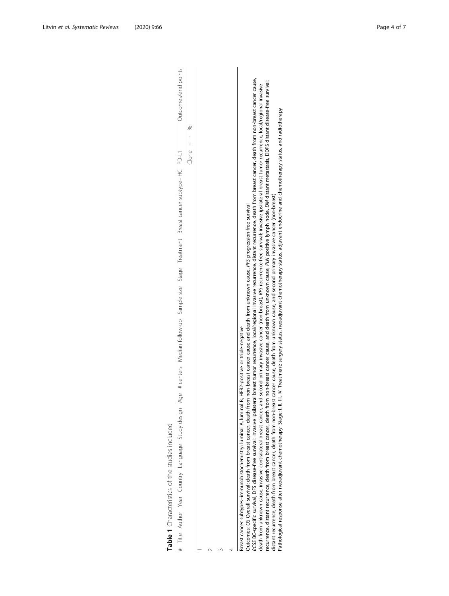| Outcomes/end points                                                                    |           |  |  | BCSS BC-specific survival, DFS disease-free survival: invasive ipsliateral breast tumor recurrence, divasive recurrence, distant recurrence, death from breast cancer, death from non-breast cancer cause,<br>recurrence, distant recurrence, death from breast cancer, death from non-breast cancer cause, and death from unknown cause, PLN positive lymph node, DM distant metastasis, DDFS distant disease-free survival:<br>second primary invasive cancer (non-breast), RFS recurrence-free survival: invasive ipsilateral breast tumor recurrence, local/regional invasive |
|----------------------------------------------------------------------------------------|-----------|--|--|-----------------------------------------------------------------------------------------------------------------------------------------------------------------------------------------------------------------------------------------------------------------------------------------------------------------------------------------------------------------------------------------------------------------------------------------------------------------------------------------------------------------------------------------------------------------------------------|
|                                                                                        | S,<br>$+$ |  |  | Pathological response after neoadjuvant chemotherapy: Stage: I, II, III, IV, Treatment: surgery status, neoadjuvant chemotherapy status, adjuvant endocrine and chemotherapy status, and chemotherapy                                                                                                                                                                                                                                                                                                                                                                             |
|                                                                                        | Clone     |  |  |                                                                                                                                                                                                                                                                                                                                                                                                                                                                                                                                                                                   |
|                                                                                        |           |  |  |                                                                                                                                                                                                                                                                                                                                                                                                                                                                                                                                                                                   |
|                                                                                        |           |  |  |                                                                                                                                                                                                                                                                                                                                                                                                                                                                                                                                                                                   |
|                                                                                        |           |  |  |                                                                                                                                                                                                                                                                                                                                                                                                                                                                                                                                                                                   |
| # centers Median follow-up Sample size Stage Treatment Breast cancer subtype-IHC PD-L1 |           |  |  | cancer cause, death from unknown cause, and second primary invasive cancer (non-breast)                                                                                                                                                                                                                                                                                                                                                                                                                                                                                           |
|                                                                                        |           |  |  |                                                                                                                                                                                                                                                                                                                                                                                                                                                                                                                                                                                   |
|                                                                                        |           |  |  |                                                                                                                                                                                                                                                                                                                                                                                                                                                                                                                                                                                   |
|                                                                                        |           |  |  |                                                                                                                                                                                                                                                                                                                                                                                                                                                                                                                                                                                   |
|                                                                                        |           |  |  |                                                                                                                                                                                                                                                                                                                                                                                                                                                                                                                                                                                   |
|                                                                                        |           |  |  |                                                                                                                                                                                                                                                                                                                                                                                                                                                                                                                                                                                   |
|                                                                                        |           |  |  |                                                                                                                                                                                                                                                                                                                                                                                                                                                                                                                                                                                   |
|                                                                                        |           |  |  | HER2-positive or triple-negative                                                                                                                                                                                                                                                                                                                                                                                                                                                                                                                                                  |
|                                                                                        |           |  |  |                                                                                                                                                                                                                                                                                                                                                                                                                                                                                                                                                                                   |
|                                                                                        |           |  |  |                                                                                                                                                                                                                                                                                                                                                                                                                                                                                                                                                                                   |
|                                                                                        |           |  |  |                                                                                                                                                                                                                                                                                                                                                                                                                                                                                                                                                                                   |
| # Title Author Year Country Language Study design Age                                  |           |  |  | Outcomes: OS Overall survival: death from breast cancer, death from non-breast cancer cause and death from unknown cause, PFS progression-free survival<br>Breast cancer subtypes-immunohistochemistry: luminal A, luminal B,<br>death from unknown cause, invasive contralateral breast cancer, and<br>distant recurrence, death from breast cancer, death from non-breast                                                                                                                                                                                                       |
|                                                                                        |           |  |  |                                                                                                                                                                                                                                                                                                                                                                                                                                                                                                                                                                                   |
|                                                                                        |           |  |  |                                                                                                                                                                                                                                                                                                                                                                                                                                                                                                                                                                                   |
|                                                                                        |           |  |  |                                                                                                                                                                                                                                                                                                                                                                                                                                                                                                                                                                                   |
|                                                                                        |           |  |  |                                                                                                                                                                                                                                                                                                                                                                                                                                                                                                                                                                                   |
|                                                                                        |           |  |  |                                                                                                                                                                                                                                                                                                                                                                                                                                                                                                                                                                                   |

## <span id="page-3-0"></span>Litvin et al. Systematic Reviews (2020) 9:66 Page 4 of 7

Table 1 Characteristics of the studies included

Table 1 Characteristics of the studies included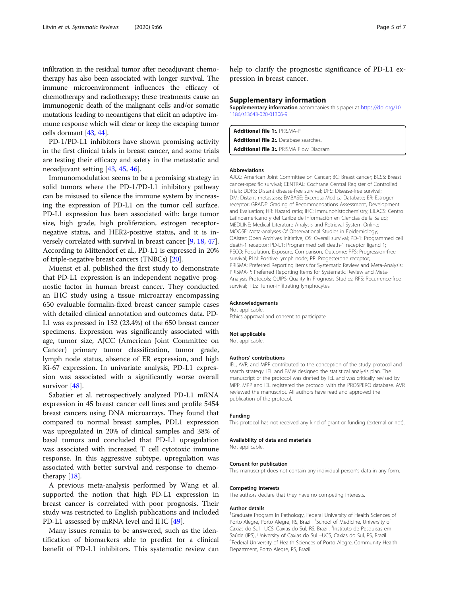<span id="page-4-0"></span>infiltration in the residual tumor after neoadjuvant chemotherapy has also been associated with longer survival. The immune microenvironment influences the efficacy of chemotherapy and radiotherapy; these treatments cause an immunogenic death of the malignant cells and/or somatic mutations leading to neoantigens that elicit an adaptive immune response which will clear or keep the escaping tumor cells dormant [[43](#page-6-0), [44](#page-6-0)].

PD-1/PD-L1 inhibitors have shown promising activity in the first clinical trials in breast cancer, and some trials are testing their efficacy and safety in the metastatic and neoadjuvant setting [[43,](#page-6-0) [45](#page-6-0), [46](#page-6-0)].

Immunomodulation seems to be a promising strategy in solid tumors where the PD-1/PD-L1 inhibitory pathway can be misused to silence the immune system by increasing the expression of PD-L1 on the tumor cell surface. PD-L1 expression has been associated with: large tumor size, high grade, high proliferation, estrogen receptornegative status, and HER2-positive status, and it is inversely correlated with survival in breast cancer [[9,](#page-5-0) [18,](#page-5-0) [47](#page-6-0)]. According to Mittendorf et al., PD-L1 is expressed in 20% of triple-negative breast cancers (TNBCs) [\[20\]](#page-5-0).

Muenst et al. published the first study to demonstrate that PD-L1 expression is an independent negative prognostic factor in human breast cancer. They conducted an IHC study using a tissue microarray encompassing 650 evaluable formalin-fixed breast cancer sample cases with detailed clinical annotation and outcomes data. PD-L1 was expressed in 152 (23.4%) of the 650 breast cancer specimens. Expression was significantly associated with age, tumor size, AJCC (American Joint Committee on Cancer) primary tumor classification, tumor grade, lymph node status, absence of ER expression, and high Ki-67 expression. In univariate analysis, PD-L1 expression was associated with a significantly worse overall survivor [[48\]](#page-6-0).

Sabatier et al. retrospectively analyzed PD-L1 mRNA expression in 45 breast cancer cell lines and profile 5454 breast cancers using DNA microarrays. They found that compared to normal breast samples, PDL1 expression was upregulated in 20% of clinical samples and 38% of basal tumors and concluded that PD-L1 upregulation was associated with increased T cell cytotoxic immune response. In this aggressive subtype, upregulation was associated with better survival and response to chemotherapy [\[18](#page-5-0)].

A previous meta-analysis performed by Wang et al. supported the notion that high PD-L1 expression in breast cancer is correlated with poor prognosis. Their study was restricted to English publications and included PD-L1 assessed by mRNA level and IHC [[49\]](#page-6-0).

Many issues remain to be answered, such as the identification of biomarkers able to predict for a clinical benefit of PD-L1 inhibitors. This systematic review can help to clarify the prognostic significance of PD-L1 expression in breast cancer.

#### Supplementary information

Supplementary information accompanies this paper at [https://doi.org/10.](https://doi.org/10.1186/s13643-020-01306-9) [1186/s13643-020-01306-9](https://doi.org/10.1186/s13643-020-01306-9).

Additional file 1:. PRISMA-P. Additional file 2:. Database searches. Additional file 3:. PRISMA Flow Diagram

#### Abbreviations

AJCC: American Joint Committee on Cancer; BC: Breast cancer; BCSS: Breast cancer-specific survival; CENTRAL: Cochrane Central Register of Controlled Trials; DDFS: Distant disease-free survival; DFS: Disease-free survival; DM: Distant metastasis; EMBASE: Excerpta Medica Database; ER: Estrogen receptor; GRADE: Grading of Recommendations Assessment, Development and Evaluation; HR: Hazard ratio; IHC: Immunohistochemistry; LILACS: Centro Latinoamericano y del Caribe de Información en Ciencias de la Salud; MEDLINE: Medical Literature Analysis and Retrieval System Online; MOOSE: Meta-analyses Of Observational Studies in Epidemiology; OAIster: Open Archives Initiative; OS: Overall survival; PD-1: Programmed cell death-1 receptor; PD-L1: Programmed cell death-1 receptor ligand 1; PECO: Population, Exposure, Comparison, Outcome; PFS: Progression-free survival; PLN: Positive lymph node; PR: Progesterone receptor; PRISMA: Preferred Reporting Items for Systematic Review and Meta-Analysis; PRISMA-P: Preferred Reporting Items for Systematic Review and Meta-Analysis Protocols; QUIPS: Quality In Prognosis Studies; RFS: Recurrence-free survival; TILs: Tumor-infiltrating lymphocytes

#### Acknowledgements

Not applicable Ethics approval and consent to participate

#### Not applicable

Not applicable.

#### Authors' contributions

IEL, AVR, and MPP contributed to the conception of the study protocol and search strategy. IEL and EMW designed the statistical analysis plan. The manuscript of the protocol was drafted by IEL and was critically revised by MPP. MPP and IEL registered the protocol with the PROSPERO database. AVR reviewed the manuscript. All authors have read and approved the publication of the protocol.

#### Funding

This protocol has not received any kind of grant or funding (external or not).

#### Availability of data and materials

Not applicable.

#### Consent for publication

This manuscript does not contain any individual person's data in any form.

#### Competing interests

The authors declare that they have no competing interests.

#### Author details

<sup>1</sup>Graduate Program in Pathology, Federal University of Health Sciences of Porto Alegre, Porto Alegre, RS, Brazil. <sup>2</sup>School of Medicine, University of Caxias do Sul -UCS, Caxias do Sul, RS, Brazil. <sup>3</sup>Instituto de Pesquisas em Saúde (IPS), University of Caxias do Sul –UCS, Caxias do Sul, RS, Brazil. <sup>4</sup>Federal University of Health Sciences of Porto Alegre, Community Health Department, Porto Alegre, RS, Brazil.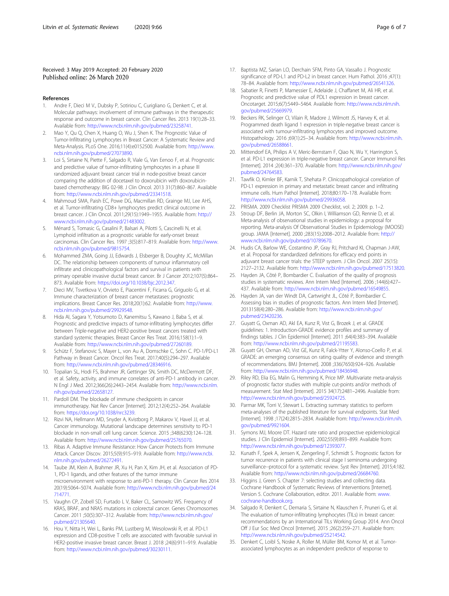## <span id="page-5-0"></span>Received: 3 May 2019 Accepted: 20 February 2020 Published online: 26 March 2020

#### References

- 1. Andre F, Dieci M V., Dubsky P, Sotiriou C, Curigliano G, Denkert C, et al. Molecular pathways: involvement of immune pathways in the therapeutic response and outcome in breast cancer. Clin Cancer Res. 2013 19(1):28–33. Available from: <http://www.ncbi.nlm.nih.gov/pubmed/23258741>.
- Mao Y, Qu Q, Chen X, Huang O, Wu J, Shen K. The Prognostic Value of Tumor-Infiltrating Lymphocytes in Breast Cancer: A Systematic Review and Meta-Analysis. PLoS One. 2016;11(4):e0152500. Available from: [http://www.](http://www.ncbi.nlm.nih.gov/pubmed/27073890) [ncbi.nlm.nih.gov/pubmed/27073890](http://www.ncbi.nlm.nih.gov/pubmed/27073890).
- 3. Loi S, Sirtaine N, Piette F, Salgado R, Viale G, Van Eenoo F, et al. Prognostic and predictive value of tumor-infiltrating lymphocytes in a phase III randomized adjuvant breast cancer trial in node-positive breast cancer comparing the addition of docetaxel to doxorubicin with doxorubicinbased chemotherapy: BIG 02-98. J Clin Oncol. 2013 31(7):860–867. Available from: <http://www.ncbi.nlm.nih.gov/pubmed/23341518>.
- 4. Mahmoud SMA, Paish EC, Powe DG, Macmillan RD, Grainge MJ, Lee AHS, et al. Tumor-infiltrating CD8+ lymphocytes predict clinical outcome in breast cancer. J Clin Oncol. 2011;29(15):1949–1955. Available from: [http://](http://www.ncbi.nlm.nih.gov/pubmed/21483002) [www.ncbi.nlm.nih.gov/pubmed/21483002.](http://www.ncbi.nlm.nih.gov/pubmed/21483002)
- 5. Ménard S, Tomasic G, Casalini P, Balsari A, Pilotti S, Cascinelli N, et al. Lymphoid infiltration as a prognostic variable for early-onset breast carcinomas. Clin Cancer Res. 1997 ;3(5):817–819. Available from: [http://www.](http://www.ncbi.nlm.nih.gov/pubmed/9815754) [ncbi.nlm.nih.gov/pubmed/9815754.](http://www.ncbi.nlm.nih.gov/pubmed/9815754)
- 6. Mohammed ZMA, Going JJ, Edwards J, Elsberger B, Doughty JC, McMillan DC. The relationship between components of tumour inflammatory cell infiltrate and clinicopathological factors and survival in patients with primary operable invasive ductal breast cancer. Br J Cancer 2012;107(5):864– 873. Available from: [https://doi.org/10.1038/bjc.2012.347.](https://doi.org/10.1038/bjc.2012.347)
- 7. Dieci MV, Tsvetkova V, Orvieto E, Piacentini F, Ficarra G, Griguolo G, et al. Immune characterization of breast cancer metastases: prognostic implications. Breast Cancer Res. 2018;20(1):62. Available from: [http://www.](http://www.ncbi.nlm.nih.gov/pubmed/29929548) [ncbi.nlm.nih.gov/pubmed/29929548](http://www.ncbi.nlm.nih.gov/pubmed/29929548).
- Hida AI, Sagara Y, Yotsumoto D, Kanemitsu S, Kawano J, Baba S, et al. Prognostic and predictive impacts of tumor-infiltrating lymphocytes differ between Triple-negative and HER2-positive breast cancers treated with standard systemic therapies. Breast Cancer Res Treat. 2016;158(1):1–9. Available from: <http://www.ncbi.nlm.nih.gov/pubmed/27260189>.
- 9. Schütz F, Stefanovic S, Mayer L, von Au A, Domschke C, Sohn C. PD-1/PD-L1 Pathway in Breast Cancer. Oncol Res Treat. 2017;40(5):294–297. Available from: <http://www.ncbi.nlm.nih.gov/pubmed/28346916>.
- 10. Topalian SL, Hodi FS, Brahmer JR, Gettinger SN, Smith DC, McDermott DF, et al. Safety, activity, and immune correlates of anti-PD-1 antibody in cancer. N Engl J Med. 2012;366(26):2443–2454. Available from: [http://www.ncbi.nlm.](http://www.ncbi.nlm.nih.gov/pubmed/22658127) [nih.gov/pubmed/22658127](http://www.ncbi.nlm.nih.gov/pubmed/22658127).
- 11. Pardoll DM. The blockade of immune checkpoints in cancer immunotherapy. Nat Rev Cancer [Internet]. 2012;12(4):252–264. Available from: <https://doi.org/10.1038/nrc3239>.
- 12. Rizvi NA, Hellmann MD, Snyder A, Kvistborg P, Makarov V, Havel JJ, et al. Cancer immunology. Mutational landscape determines sensitivity to PD-1 blockade in non-small cell lung cancer. Science. 2015 ;348(6230):124–128. Available from: <http://www.ncbi.nlm.nih.gov/pubmed/25765070>.
- 13. Ribas A. Adaptive Immune Resistance: How Cancer Protects from Immune Attack. Cancer Discov. 2015;5(9):915–919. Available from: [http://www.ncbi.](http://www.ncbi.nlm.nih.gov/pubmed/26272491) [nlm.nih.gov/pubmed/26272491.](http://www.ncbi.nlm.nih.gov/pubmed/26272491)
- 14. Taube JM, Klein A, Brahmer JR, Xu H, Pan X, Kim JH, et al. Association of PD-1, PD-1 ligands, and other features of the tumor immune microenvironment with response to anti-PD-1 therapy. Clin Cancer Res 2014 20(19):5064–5074. Available from: [http://www.ncbi.nlm.nih.gov/pubmed/24](http://www.ncbi.nlm.nih.gov/pubmed/24714771) [714771](http://www.ncbi.nlm.nih.gov/pubmed/24714771).
- 15. Vaughn CP, Zobell SD, Furtado L V, Baker CL, Samowitz WS. Frequency of KRAS, BRAF, and NRAS mutations in colorectal cancer. Genes Chromosomes Cancer. 2011 ;50(5):307–312. Available from: [http://www.ncbi.nlm.nih.gov/](http://www.ncbi.nlm.nih.gov/pubmed/21305640) [pubmed/21305640.](http://www.ncbi.nlm.nih.gov/pubmed/21305640)
- 16. Hou Y, Nitta H, Wei L, Banks PM, Lustberg M, Wesolowski R, et al. PD-L1 expression and CD8-positive T cells are associated with favorable survival in HER2-positive invasive breast cancer. Breast J. 2018 ;24(6):911–919. Available from: <http://www.ncbi.nlm.nih.gov/pubmed/30230111>.
- 17. Baptista MZ, Sarian LO, Derchain SFM, Pinto GA, Vassallo J. Prognostic significance of PD-L1 and PD-L2 in breast cancer. Hum Pathol. 2016 ;47(1): 78–84. Available from: [http://www.ncbi.nlm.nih.gov/pubmed/26541326.](http://www.ncbi.nlm.nih.gov/pubmed/26541326)
- 18. Sabatier R, Finetti P, Mamessier E, Adelaide J, Chaffanet M, Ali HR, et al. Prognostic and predictive value of PDL1 expression in breast cancer. Oncotarget. 2015;6(7):5449–5464. Available from: [http://www.ncbi.nlm.nih.](http://www.ncbi.nlm.nih.gov/pubmed/25669979) [gov/pubmed/25669979](http://www.ncbi.nlm.nih.gov/pubmed/25669979).
- 19. Beckers RK, Selinger CI, Vilain R, Madore J, Wilmott JS, Harvey K, et al. Programmed death ligand 1 expression in triple-negative breast cancer is associated with tumour-infiltrating lymphocytes and improved outcome. Histopathology. 2016 ;69(1):25–34. Available from: [http://www.ncbi.nlm.nih.](http://www.ncbi.nlm.nih.gov/pubmed/26588661) [gov/pubmed/26588661](http://www.ncbi.nlm.nih.gov/pubmed/26588661).
- 20. Mittendorf EA, Philips A V, Meric-Bernstam F, Qiao N, Wu Y, Harrington S, et al. PD-L1 expression in triple-negative breast cancer. Cancer Immunol Res [Internet]. 2014 ;2(4):361–370. Available from: [http://www.ncbi.nlm.nih.gov/](http://www.ncbi.nlm.nih.gov/pubmed/24764583) [pubmed/24764583.](http://www.ncbi.nlm.nih.gov/pubmed/24764583)
- 21. Tawfik O, Kimler BF, Karnik T, Shehata P. Clinicopathological correlation of PD-L1 expression in primary and metastatic breast cancer and infiltrating immune cells. Hum Pathol [Internet]. 2018;80:170–178. Available from: [http://www.ncbi.nlm.nih.gov/pubmed/29936058.](http://www.ncbi.nlm.nih.gov/pubmed/29936058)
- 22. PRISMA. 2009 Checklist PRISMA 2009 Checklist, vol. 2; 2009. p. 1–2.
- 23. Stroup DF, Berlin JA, Morton SC, Olkin I, Williamson GD, Rennie D, et al. Meta-analysis of observational studies in epidemiology: a proposal for reporting. Meta-analysis Of Observational Studies in Epidemiology (MOOSE) group. JAMA [Internet]. 2000 ;283(15):2008–2012. Available from: [http://](http://www.ncbi.nlm.nih.gov/pubmed/10789670) [www.ncbi.nlm.nih.gov/pubmed/10789670.](http://www.ncbi.nlm.nih.gov/pubmed/10789670)
- 24. Hudis CA, Barlow WE, Costantino JP, Gray RJ, Pritchard KI, Chapman J-AW, et al. Proposal for standardized definitions for efficacy end points in adjuvant breast cancer trials: the STEEP system. J Clin Oncol. 2007 25(15): 2127–2132. Available from: <http://www.ncbi.nlm.nih.gov/pubmed/17513820>.
- 25. Hayden JA, Côté P, Bombardier C. Evaluation of the quality of prognosis studies in systematic reviews. Ann Intern Med [Internet]. 2006 ;144(6):427– 437. Available from: [http://www.ncbi.nlm.nih.gov/pubmed/16549855.](http://www.ncbi.nlm.nih.gov/pubmed/16549855)
- 26. Hayden JA, van der Windt DA, Cartwright JL, Côté P, Bombardier C. Assessing bias in studies of prognostic factors. Ann Intern Med [Internet]. 2013158(4):280–286. Available from: [http://www.ncbi.nlm.nih.gov/](http://www.ncbi.nlm.nih.gov/pubmed/23420236) [pubmed/23420236.](http://www.ncbi.nlm.nih.gov/pubmed/23420236)
- 27. Guyatt G, Oxman AD, Akl EA, Kunz R, Vist G, Brozek J, et al. GRADE guidelines: 1. Introduction-GRADE evidence profiles and summary of findings tables. J Clin Epidemiol [Internet]. 2011 ;64(4):383–394. Available from: [http://www.ncbi.nlm.nih.gov/pubmed/21195583.](http://www.ncbi.nlm.nih.gov/pubmed/21195583)
- 28. Guyatt GH, Oxman AD, Vist GE, Kunz R, Falck-Ytter Y, Alonso-Coello P, et al. GRADE: an emerging consensus on rating quality of evidence and strength of recommendations. BMJ [Internet]. 2008 ;336(7650):924–926. Available from: [http://www.ncbi.nlm.nih.gov/pubmed/18436948.](http://www.ncbi.nlm.nih.gov/pubmed/18436948)
- 29. Riley RD, Elia EG, Malin G, Hemming K, Price MP. Multivariate meta-analysis of prognostic factor studies with multiple cut-points and/or methods of measurement. Stat Med [Internet]. 2015 34(17):2481–2496. Available from: [http://www.ncbi.nlm.nih.gov/pubmed/25924725.](http://www.ncbi.nlm.nih.gov/pubmed/25924725)
- 30. Parmar MK, Torri V, Stewart L. Extracting summary statistics to perform meta-analyses of the published literature for survival endpoints. Stat Med [Internet]. 1998 ;17(24):2815–2834. Available from: [http://www.ncbi.nlm.nih.](http://www.ncbi.nlm.nih.gov/pubmed/9921604) [gov/pubmed/9921604.](http://www.ncbi.nlm.nih.gov/pubmed/9921604)
- 31. Symons MJ, Moore DT. Hazard rate ratio and prospective epidemiological studies. J Clin Epidemiol [Internet]. 2002;55(9):893–899. Available from: [http://www.ncbi.nlm.nih.gov/pubmed/12393077.](http://www.ncbi.nlm.nih.gov/pubmed/12393077)
- 32. Kunath F, Spek A, Jensen K, Zengerling F, Schmidt S. Prognostic factors for tumor recurrence in patients with clinical stage I seminoma undergoing surveillance--protocol for a systematic review. Syst Rev [Internet]. 2015;4:182. Available from: <http://www.ncbi.nlm.nih.gov/pubmed/26684760>.
- 33. Higgins J, Green S. Chapter 7: selecting studies and collecting data. Cochrane Handbook of Systematic Reviews of Interventions [Internet]. Version 5. Cochrane Collaboration, editor. 2011. Available from: [www.](http://www.cochrane-handbook.org) [cochrane-handbook.org](http://www.cochrane-handbook.org).
- 34. Salgado R, Denkert C, Demaria S, Sirtaine N, Klauschen F, Pruneri G, et al. The evaluation of tumor-infiltrating lymphocytes (TILs) in breast cancer: recommendations by an International TILs Working Group 2014. Ann Oncol Off J Eur Soc Med Oncol [Internet]. 2015 ;26(2):259–271. Available from: [http://www.ncbi.nlm.nih.gov/pubmed/25214542.](http://www.ncbi.nlm.nih.gov/pubmed/25214542)
- 35. Denkert C, Loibl S, Noske A, Roller M, Müller BM, Komor M, et al. Tumorassociated lymphocytes as an independent predictor of response to